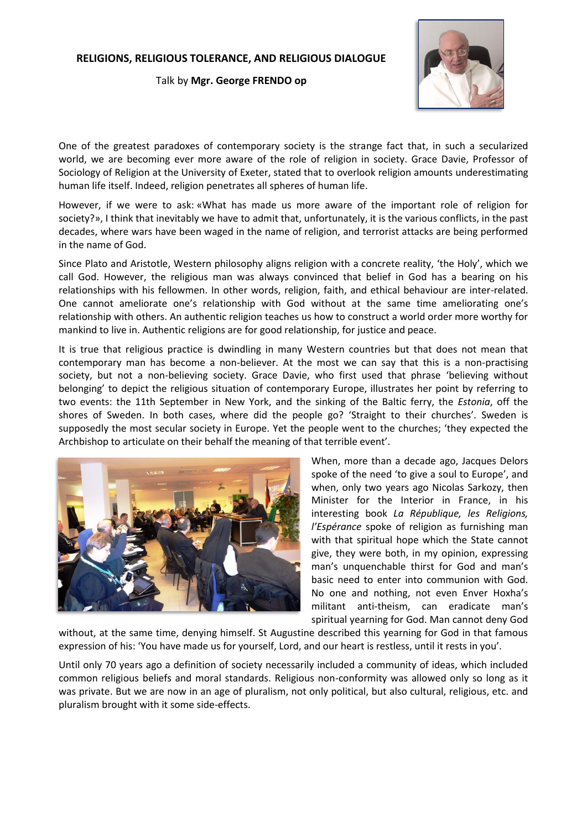## **RELIGIONS, RELIGIOUS TOLERANCE, AND RELIGIOUS DIALOGUE**

Talk by **Mgr. George FRENDO op**



One of the greatest paradoxes of contemporary society is the strange fact that, in such a secularized world, we are becoming ever more aware of the role of religion in society. Grace Davie, Professor of Sociology of Religion at the University of Exeter, stated that to overlook religion amounts underestimating human life itself. Indeed, religion penetrates all spheres of human life.

However, if we were to ask: «What has made us more aware of the important role of religion for society?», I think that inevitably we have to admit that, unfortunately, it is the various conflicts, in the past decades, where wars have been waged in the name of religion, and terrorist attacks are being performed in the name of God.

Since Plato and Aristotle, Western philosophy aligns religion with a concrete reality, 'the Holy', which we call God. However, the religious man was always convinced that belief in God has a bearing on his relationships with his fellowmen. In other words, religion, faith, and ethical behaviour are inter-related. One cannot ameliorate one's relationship with God without at the same time ameliorating one's relationship with others. An authentic religion teaches us how to construct a world order more worthy for mankind to live in. Authentic religions are for good relationship, for justice and peace.

It is true that religious practice is dwindling in many Western countries but that does not mean that contemporary man has become a non-believer. At the most we can say that this is a non-practising society, but not a non-believing society. Grace Davie, who first used that phrase 'believing without belonging' to depict the religious situation of contemporary Europe, illustrates her point by referring to two events: the 11th September in New York, and the sinking of the Baltic ferry, the *Estonia*, off the shores of Sweden. In both cases, where did the people go? 'Straight to their churches'. Sweden is supposedly the most secular society in Europe. Yet the people went to the churches; 'they expected the Archbishop to articulate on their behalf the meaning of that terrible event'.



When, more than a decade ago, Jacques Delors spoke of the need 'to give a soul to Europe', and when, only two years ago Nicolas Sarkozy, then Minister for the Interior in France, in his interesting book *La République, les Religions, l'Espérance* spoke of religion as furnishing man with that spiritual hope which the State cannot give, they were both, in my opinion, expressing man's unquenchable thirst for God and man's basic need to enter into communion with God. No one and nothing, not even Enver Hoxha's militant anti-theism, can eradicate man's spiritual yearning for God. Man cannot deny God

without, at the same time, denying himself. St Augustine described this yearning for God in that famous expression of his: 'You have made us for yourself, Lord, and our heart is restless, until it rests in you'.

Until only 70 years ago a definition of society necessarily included a community of ideas, which included common religious beliefs and moral standards. Religious non-conformity was allowed only so long as it was private. But we are now in an age of pluralism, not only political, but also cultural, religious, etc. and pluralism brought with it some side-effects.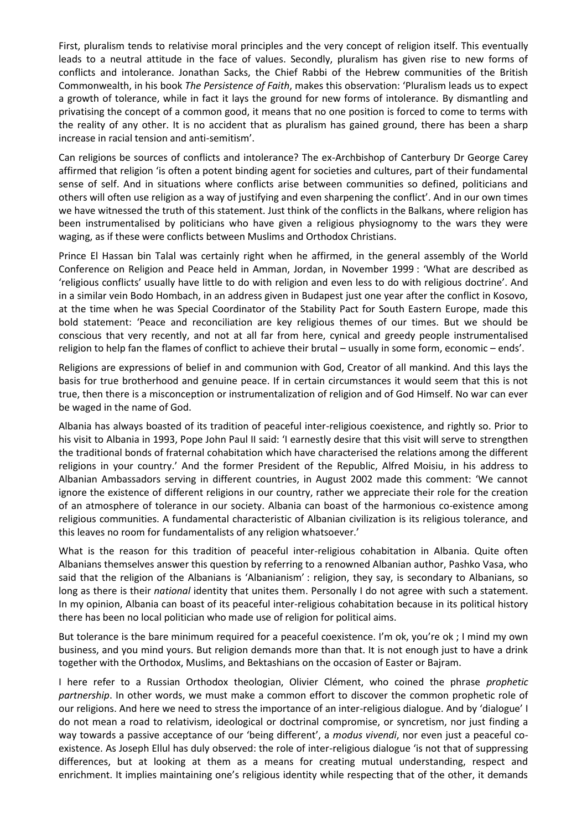First, pluralism tends to relativise moral principles and the very concept of religion itself. This eventually leads to a neutral attitude in the face of values. Secondly, pluralism has given rise to new forms of conflicts and intolerance. Jonathan Sacks, the Chief Rabbi of the Hebrew communities of the British Commonwealth, in his book *The Persistence of Faith*, makes this observation: 'Pluralism leads us to expect a growth of tolerance, while in fact it lays the ground for new forms of intolerance. By dismantling and privatising the concept of a common good, it means that no one position is forced to come to terms with the reality of any other. It is no accident that as pluralism has gained ground, there has been a sharp increase in racial tension and anti-semitism'.

Can religions be sources of conflicts and intolerance? The ex-Archbishop of Canterbury Dr George Carey affirmed that religion 'is often a potent binding agent for societies and cultures, part of their fundamental sense of self. And in situations where conflicts arise between communities so defined, politicians and others will often use religion as a way of justifying and even sharpening the conflict'. And in our own times we have witnessed the truth of this statement. Just think of the conflicts in the Balkans, where religion has been instrumentalised by politicians who have given a religious physiognomy to the wars they were waging, as if these were conflicts between Muslims and Orthodox Christians.

Prince El Hassan bin Talal was certainly right when he affirmed, in the general assembly of the World Conference on Religion and Peace held in Amman, Jordan, in November 1999 : 'What are described as 'religious conflicts' usually have little to do with religion and even less to do with religious doctrine'. And in a similar vein Bodo Hombach, in an address given in Budapest just one year after the conflict in Kosovo, at the time when he was Special Coordinator of the Stability Pact for South Eastern Europe, made this bold statement: 'Peace and reconciliation are key religious themes of our times. But we should be conscious that very recently, and not at all far from here, cynical and greedy people instrumentalised religion to help fan the flames of conflict to achieve their brutal – usually in some form, economic – ends'.

Religions are expressions of belief in and communion with God, Creator of all mankind. And this lays the basis for true brotherhood and genuine peace. If in certain circumstances it would seem that this is not true, then there is a misconception or instrumentalization of religion and of God Himself. No war can ever be waged in the name of God.

Albania has always boasted of its tradition of peaceful inter-religious coexistence, and rightly so. Prior to his visit to Albania in 1993, Pope John Paul II said: 'I earnestly desire that this visit will serve to strengthen the traditional bonds of fraternal cohabitation which have characterised the relations among the different religions in your country.' And the former President of the Republic, Alfred Moisiu, in his address to Albanian Ambassadors serving in different countries, in August 2002 made this comment: 'We cannot ignore the existence of different religions in our country, rather we appreciate their role for the creation of an atmosphere of tolerance in our society. Albania can boast of the harmonious co-existence among religious communities. A fundamental characteristic of Albanian civilization is its religious tolerance, and this leaves no room for fundamentalists of any religion whatsoever.'

What is the reason for this tradition of peaceful inter-religious cohabitation in Albania. Quite often Albanians themselves answer this question by referring to a renowned Albanian author, Pashko Vasa, who said that the religion of the Albanians is 'Albanianism' : religion, they say, is secondary to Albanians, so long as there is their *national* identity that unites them. Personally I do not agree with such a statement. In my opinion, Albania can boast of its peaceful inter-religious cohabitation because in its political history there has been no local politician who made use of religion for political aims.

But tolerance is the bare minimum required for a peaceful coexistence. I'm ok, you're ok ; I mind my own business, and you mind yours. But religion demands more than that. It is not enough just to have a drink together with the Orthodox, Muslims, and Bektashians on the occasion of Easter or Bajram.

I here refer to a Russian Orthodox theologian, Olivier Clément, who coined the phrase *prophetic partnership*. In other words, we must make a common effort to discover the common prophetic role of our religions. And here we need to stress the importance of an inter-religious dialogue. And by 'dialogue' I do not mean a road to relativism, ideological or doctrinal compromise, or syncretism, nor just finding a way towards a passive acceptance of our 'being different', a *modus vivendi*, nor even just a peaceful coexistence. As Joseph Ellul has duly observed: the role of inter-religious dialogue 'is not that of suppressing differences, but at looking at them as a means for creating mutual understanding, respect and enrichment. It implies maintaining one's religious identity while respecting that of the other, it demands